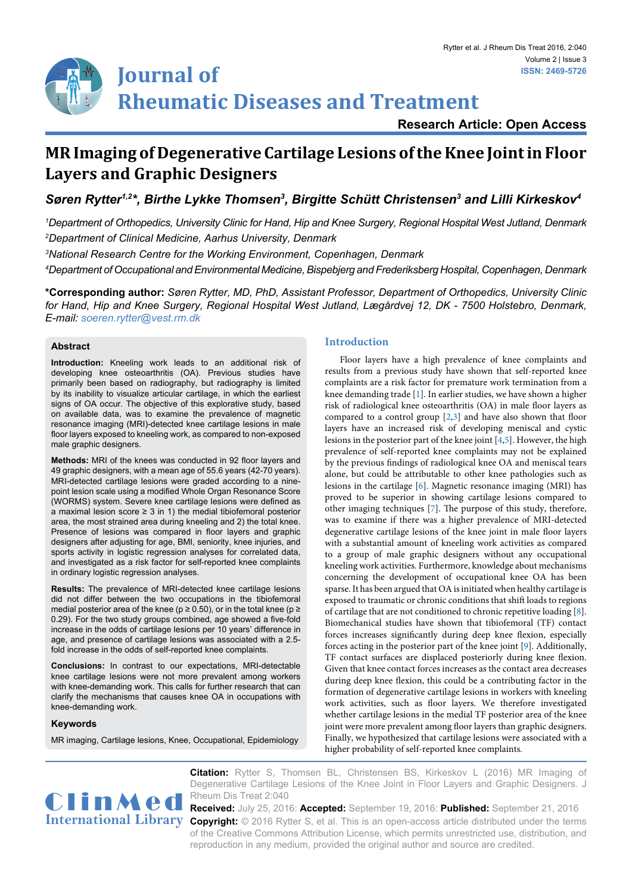# **Journal of Rheumatic Diseases and Treatment**

**Research Article: Open Access**

# **MR Imaging of Degenerative Cartilage Lesions of the Knee Joint in Floor Layers and Graphic Designers**

Søren Rytter<sup>1,2</sup>\*, Birthe Lykke Thomsen<sup>3</sup>, Birgitte Schütt Christensen<sup>3</sup> and Lilli Kirkeskov<sup>4</sup>

*1 Department of Orthopedics, University Clinic for Hand, Hip and Knee Surgery, Regional Hospital West Jutland, Denmark 2 Department of Clinical Medicine, Aarhus University, Denmark*

*3 National Research Centre for the Working Environment, Copenhagen, Denmark*

*4 Department of Occupational and Environmental Medicine, Bispebjerg and Frederiksberg Hospital, Copenhagen, Denmark*

**\*Corresponding author:** *Søren Rytter, MD, PhD, Assistant Professor, Department of Orthopedics, University Clinic for Hand, Hip and Knee Surgery, Regional Hospital West Jutland, Lægårdvej 12, DK - 7500 Holstebro, Denmark, E-mail: soeren.rytter@vest.rm.dk*

# **Abstract**

**Introduction:** Kneeling work leads to an additional risk of developing knee osteoarthritis (OA). Previous studies have primarily been based on radiography, but radiography is limited by its inability to visualize articular cartilage, in which the earliest signs of OA occur. The objective of this explorative study, based on available data, was to examine the prevalence of magnetic resonance imaging (MRI)-detected knee cartilage lesions in male floor layers exposed to kneeling work, as compared to non-exposed male graphic designers.

**Methods:** MRI of the knees was conducted in 92 floor layers and 49 graphic designers, with a mean age of 55.6 years (42-70 years). MRI-detected cartilage lesions were graded according to a ninepoint lesion scale using a modified Whole Organ Resonance Score (WORMS) system. Severe knee cartilage lesions were defined as a maximal lesion score  $\geq$  3 in 1) the medial tibiofemoral posterior area, the most strained area during kneeling and 2) the total knee. Presence of lesions was compared in floor layers and graphic designers after adjusting for age, BMI, seniority, knee injuries, and sports activity in logistic regression analyses for correlated data, and investigated as a risk factor for self-reported knee complaints in ordinary logistic regression analyses.

**Results:** The prevalence of MRI-detected knee cartilage lesions did not differ between the two occupations in the tibiofemoral medial posterior area of the knee ( $p \ge 0.50$ ), or in the total knee ( $p \ge 0$ 0.29). For the two study groups combined, age showed a five-fold increase in the odds of cartilage lesions per 10 years' difference in age, and presence of cartilage lesions was associated with a 2.5 fold increase in the odds of self-reported knee complaints.

**Conclusions:** In contrast to our expectations, MRI-detectable knee cartilage lesions were not more prevalent among workers with knee-demanding work. This calls for further research that can clarify the mechanisms that causes knee OA in occupations with knee-demanding work.

# **Keywords**

MR imaging, Cartilage lesions, Knee, Occupational, Epidemiology

# **Introduction**

Floor layers have a high prevalence of knee complaints and results from a previous study have shown that self-reported knee complaints are a risk factor for premature work termination from a knee demanding trade [[1](#page-5-0)]. In earlier studies, we have shown a higher risk of radiological knee osteoarthritis (OA) in male floor layers as compared to a control group [\[2,](#page-5-1)[3](#page-5-2)] and have also shown that floor layers have an increased risk of developing meniscal and cystic lesions in the posterior part of the knee joint [\[4](#page-5-3)[,5\]](#page-5-4). However, the high prevalence of self-reported knee complaints may not be explained by the previous findings of radiological knee OA and meniscal tears alone, but could be attributable to other knee pathologies such as lesions in the cartilage [\[6\]](#page-5-5). Magnetic resonance imaging (MRI) has proved to be superior in showing cartilage lesions compared to other imaging techniques [[7](#page-5-6)]. The purpose of this study, therefore, was to examine if there was a higher prevalence of MRI-detected degenerative cartilage lesions of the knee joint in male floor layers with a substantial amount of kneeling work activities as compared to a group of male graphic designers without any occupational kneeling work activities. Furthermore, knowledge about mechanisms concerning the development of occupational knee OA has been sparse. It has been argued that OA is initiated when healthy cartilage is exposed to traumatic or chronic conditions that shift loads to regions of cartilage that are not conditioned to chronic repetitive loading [\[8\]](#page-5-7). Biomechanical studies have shown that tibiofemoral (TF) contact forces increases significantly during deep knee flexion, especially forces acting in the posterior part of the knee joint [[9\]](#page-5-8). Additionally, TF contact surfaces are displaced posteriorly during knee flexion. Given that knee contact forces increases as the contact area decreases during deep knee flexion, this could be a contributing factor in the formation of degenerative cartilage lesions in workers with kneeling work activities, such as floor layers. We therefore investigated whether cartilage lesions in the medial TF posterior area of the knee joint were more prevalent among floor layers than graphic designers. Finally, we hypothesized that cartilage lesions were associated with a higher probability of self-reported knee complaints.



**Citation:** Rytter S, Thomsen BL, Christensen BS, Kirkeskov L (2016) MR Imaging of Degenerative Cartilage Lesions of the Knee Joint in Floor Layers and Graphic Designers. J

International Library Copyright: © 2016 Rytter S, et al. This is an open-access article distributed under the terms **Received:** July 25, 2016: **Accepted:** September 19, 2016: **Published:** September 21, 2016 of the Creative Commons Attribution License, which permits unrestricted use, distribution, and reproduction in any medium, provided the original author and source are credited.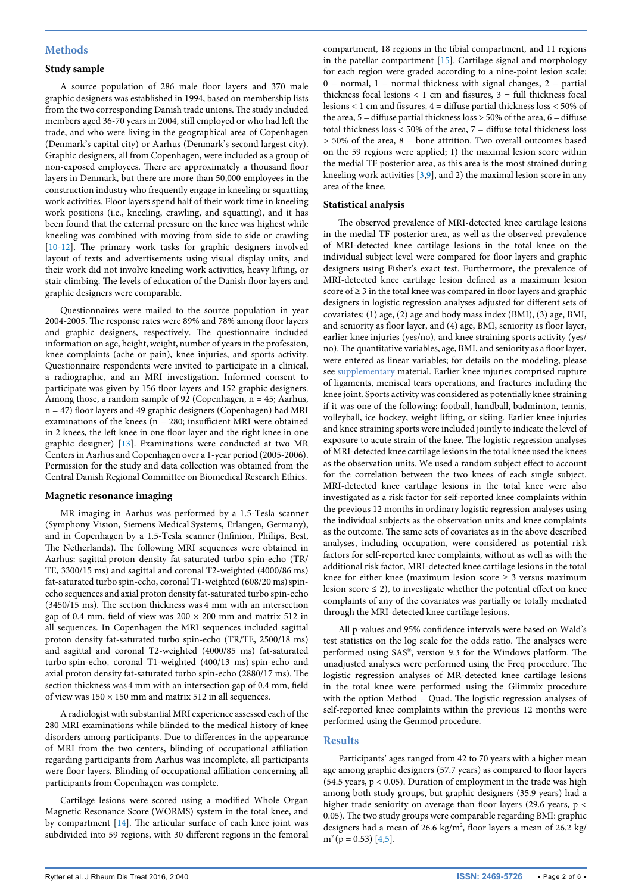### **Methods**

#### **Study sample**

A source population of 286 male floor layers and 370 male graphic designers was established in 1994, based on membership lists from the two corresponding Danish trade unions. The study included members aged 36-70 years in 2004, still employed or who had left the trade, and who were living in the geographical area of Copenhagen (Denmark's capital city) or Aarhus (Denmark's second largest city). Graphic designers, all from Copenhagen, were included as a group of non-exposed employees. There are approximately a thousand floor layers in Denmark, but there are more than 50,000 employees in the construction industry who frequently engage in kneeling or squatting work activities. Floor layers spend half of their work time in kneeling work positions (i.e., kneeling, crawling, and squatting), and it has been found that the external pressure on the knee was highest while kneeling was combined with moving from side to side or crawling [[10](#page-5-10)[-12](#page-5-11)]. The primary work tasks for graphic designers involved layout of texts and advertisements using visual display units, and their work did not involve kneeling work activities, heavy lifting, or stair climbing. The levels of education of the Danish floor layers and graphic designers were comparable.

Questionnaires were mailed to the source population in year 2004-2005. The response rates were 89% and 78% among floor layers and graphic designers, respectively. The questionnaire included information on age, height, weight, number of years in the profession, knee complaints (ache or pain), knee injuries, and sports activity. Questionnaire respondents were invited to participate in a clinical, a radiographic, and an MRI investigation. Informed consent to participate was given by 156 floor layers and 152 graphic designers. Among those, a random sample of 92 (Copenhagen, n = 45; Aarhus, n = 47) floor layers and 49 graphic designers (Copenhagen) had MRI examinations of the knees ( $n = 280$ ; insufficient MRI were obtained in 2 knees, the left knee in one floor layer and the right knee in one graphic designer) [\[13](#page-5-12)]. Examinations were conducted at two MR Centers in Aarhus and Copenhagen over a 1-year period (2005-2006). Permission for the study and data collection was obtained from the Central Danish Regional Committee on Biomedical Research Ethics.

#### **Magnetic resonance imaging**

MR imaging in Aarhus was performed by a 1.5-Tesla scanner (Symphony Vision, Siemens Medical Systems, Erlangen, Germany), and in Copenhagen by a 1.5-Tesla scanner (Infinion, Philips, Best, The Netherlands). The following MRI sequences were obtained in Aarhus: sagittal proton density fat-saturated turbo spin-echo (TR/ TE, 3300/15 ms) and sagittal and coronal T2-weighted (4000/86 ms) fat-saturated turbo spin-echo, coronal T1-weighted (608/20 ms) spinecho sequences and axial proton density fat-saturated turbo spin-echo (3450/15 ms). The section thickness was 4 mm with an intersection gap of 0.4 mm, field of view was  $200 \times 200$  mm and matrix 512 in all sequences. In Copenhagen the MRI sequences included sagittal proton density fat-saturated turbo spin-echo (TR/TE, 2500/18 ms) and sagittal and coronal T2-weighted (4000/85 ms) fat-saturated turbo spin-echo, coronal T1-weighted (400/13 ms) spin-echo and axial proton density fat-saturated turbo spin-echo (2880/17 ms). The section thickness was 4 mm with an intersection gap of 0.4 mm, field of view was  $150 \times 150$  mm and matrix 512 in all sequences.

A radiologist with substantial MRI experience assessed each of the 280 MRI examinations while blinded to the medical history of knee disorders among participants. Due to differences in the appearance of MRI from the two centers, blinding of occupational affiliation regarding participants from Aarhus was incomplete, all participants were floor layers. Blinding of occupational affiliation concerning all participants from Copenhagen was complete.

Cartilage lesions were scored using a modified Whole Organ Magnetic Resonance Score (WORMS) system in the total knee, and by compartment [\[14\]](#page-5-13). The articular surface of each knee joint was subdivided into 59 regions, with 30 different regions in the femoral compartment, 18 regions in the tibial compartment, and 11 regions in the patellar compartment [[15\]](#page-5-9). Cartilage signal and morphology for each region were graded according to a nine-point lesion scale:  $0 =$  normal,  $1 =$  normal thickness with signal changes,  $2 =$  partial thickness focal lesions  $< 1$  cm and fissures,  $3 = \text{full thickness}$  focal lesions < 1 cm and fissures, 4 = diffuse partial thickness loss < 50% of the area,  $5 =$  diffuse partial thickness loss  $> 50\%$  of the area,  $6 =$  diffuse total thickness loss  $<$  50% of the area,  $7$  = diffuse total thickness loss > 50% of the area, 8 = bone attrition. Two overall outcomes based on the 59 regions were applied; 1) the maximal lesion score within the medial TF posterior area, as this area is the most strained during kneeling work activities [\[3,](#page-5-2)[9](#page-5-8)], and 2) the maximal lesion score in any area of the knee.

#### **Statistical analysis**

The observed prevalence of MRI-detected knee cartilage lesions in the medial TF posterior area, as well as the observed prevalence of MRI-detected knee cartilage lesions in the total knee on the individual subject level were compared for floor layers and graphic designers using Fisher's exact test. Furthermore, the prevalence of MRI-detected knee cartilage lesion defined as a maximum lesion score of  $\geq$  3 in the total knee was compared in floor layers and graphic designers in logistic regression analyses adjusted for different sets of covariates: (1) age, (2) age and body mass index (BMI), (3) age, BMI, and seniority as floor layer, and (4) age, BMI, seniority as floor layer, earlier knee injuries (yes/no), and knee straining sports activity (yes/ no). The quantitative variables, age, BMI, and seniority as a floor layer, were entered as linear variables; for details on the modeling, please see [supplementary](http://clinmedjournals.org/articles/jrdt/jrdt-2-040-supplementary-file.doc) material. Earlier knee injuries comprised rupture of ligaments, meniscal tears operations, and fractures including the knee joint. Sports activity was considered as potentially knee straining if it was one of the following: football, handball, badminton, tennis, volleyball, ice hockey, weight lifting, or skiing. Earlier knee injuries and knee straining sports were included jointly to indicate the level of exposure to acute strain of the knee. The logistic regression analyses of MRI-detected knee cartilage lesions in the total knee used the knees as the observation units. We used a random subject effect to account for the correlation between the two knees of each single subject. MRI-detected knee cartilage lesions in the total knee were also investigated as a risk factor for self-reported knee complaints within the previous 12 months in ordinary logistic regression analyses using the individual subjects as the observation units and knee complaints as the outcome. The same sets of covariates as in the above described analyses, including occupation, were considered as potential risk factors for self-reported knee complaints, without as well as with the additional risk factor, MRI-detected knee cartilage lesions in the total knee for either knee (maximum lesion score  $\geq$  3 versus maximum lesion score  $\leq$  2), to investigate whether the potential effect on knee complaints of any of the covariates was partially or totally mediated through the MRI-detected knee cartilage lesions.

All p-values and 95% confidence intervals were based on Wald's test statistics on the log scale for the odds ratio. The analyses were performed using SAS®, version 9.3 for the Windows platform. The unadjusted analyses were performed using the Freq procedure. The logistic regression analyses of MR-detected knee cartilage lesions in the total knee were performed using the Glimmix procedure with the option Method = Quad. The logistic regression analyses of self-reported knee complaints within the previous 12 months were performed using the Genmod procedure.

#### **Results**

Participants' ages ranged from 42 to 70 years with a higher mean age among graphic designers (57.7 years) as compared to floor layers (54.5 years, p < 0.05). Duration of employment in the trade was high among both study groups, but graphic designers (35.9 years) had a higher trade seniority on average than floor layers (29.6 years, p < 0.05). The two study groups were comparable regarding BMI: graphic designers had a mean of 26.6 kg/m<sup>2</sup>, floor layers a mean of 26.2 kg/  $m^2$  (p = 0.53) [\[4,](#page-5-3)[5\]](#page-5-4).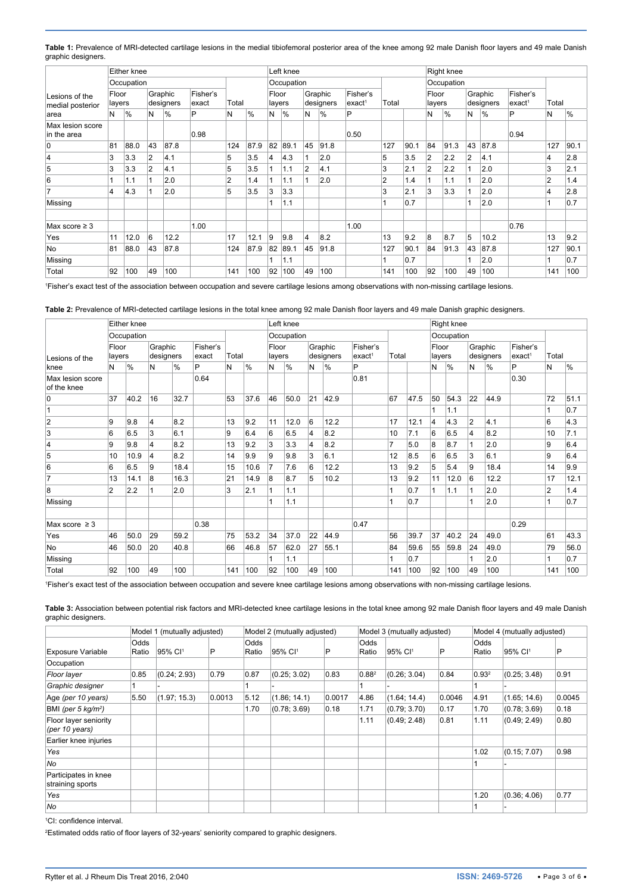<span id="page-2-1"></span>

| Table 1: Prevalence of MRI-detected cartilage lesions in the medial tibiofemoral posterior area of the knee among 92 male Danish floor layers and 49 male Danish |
|------------------------------------------------------------------------------------------------------------------------------------------------------------------|
| graphic designers.                                                                                                                                               |

|                                            |                 | Either knee |                      |      |                   |                |      |                | Left knee       |                |                      |                                |       |      |                 | Right knee |                      |      |                                |                |               |  |
|--------------------------------------------|-----------------|-------------|----------------------|------|-------------------|----------------|------|----------------|-----------------|----------------|----------------------|--------------------------------|-------|------|-----------------|------------|----------------------|------|--------------------------------|----------------|---------------|--|
|                                            |                 | Occupation  |                      |      |                   |                |      |                | Occupation      |                |                      |                                |       |      | Occupation      |            |                      |      |                                |                |               |  |
| Lesions of the<br>medial posterior<br>area | Floor<br>layers |             | Graphic<br>designers |      | Fisher's<br>exact | Total          |      |                | Floor<br>layers |                | Graphic<br>designers | Fisher's<br>exact <sup>1</sup> | Total |      | Floor<br>layers |            | Graphic<br>designers |      | Fisher's<br>exact <sup>1</sup> | Total          |               |  |
|                                            | N               | %           | N                    | $\%$ | P                 | N              | $\%$ | N              | %               | N              | $\frac{1}{6}$        | P                              |       |      | И               | %          | N                    | $\%$ | P                              | Ν              | $\frac{9}{6}$ |  |
| Max lesion score<br>in the area            |                 |             |                      |      | 0.98              |                |      |                |                 |                |                      | 0.50                           |       |      |                 |            |                      |      | 0.94                           |                |               |  |
| 0                                          | 81              | 88.0        | 43                   | 87.8 |                   | 124            | 87.9 | 82             | 89.1            | 45             | 91.8                 |                                | 127   | 90.1 | 84              | 91.3       | 43                   | 87.8 |                                | 127            | 90.1          |  |
| $\overline{4}$                             | 3               | 3.3         | 2                    | 4.1  |                   | 5              | 3.5  | $\overline{4}$ | 4.3             |                | 2.0                  |                                | 5     | 3.5  | $\overline{2}$  | 2.2        | $\overline{2}$       | 4.1  |                                | 4              | 2.8           |  |
| 5                                          | 3               | 3.3         | $\overline{2}$       | 4.1  |                   | 5              | 3.5  |                | 1.1             | $\overline{2}$ | 4.1                  |                                | 3     | 2.1  | 2               | 2.2        |                      | 2.0  |                                | 3              | 2.1           |  |
| 6                                          |                 | 1.1         |                      | 2.0  |                   | $\overline{2}$ | 1.4  |                | 1.1             |                | 2.0                  |                                | 2     | 1.4  |                 | 1.1        |                      | 2.0  |                                | $\overline{2}$ | 1.4           |  |
| $\overline{7}$                             | 4               | 4.3         |                      | 2.0  |                   | 5              | 3.5  | 3              | 3.3             |                |                      |                                | 3     | 2.1  | 3               | 3.3        |                      | 2.0  |                                | 4              | 2.8           |  |
| Missing                                    |                 |             |                      |      |                   |                |      |                | 1.1             |                |                      |                                |       | 0.7  |                 |            |                      | 2.0  |                                |                | 0.7           |  |
| Max score $\geq$ 3                         |                 |             |                      |      | 1.00              |                |      |                |                 |                |                      | 1.00                           |       |      |                 |            |                      |      | 0.76                           |                |               |  |
| Yes                                        | 11              | 12.0        | 6                    | 12.2 |                   | 17             | 12.1 | 9              | 9.8             | 4              | 8.2                  |                                | 13    | 9.2  | 8               | 8.7        | 5                    | 10.2 |                                | 13             | 9.2           |  |
| No                                         | 81              | 88.0        | 43                   | 87.8 |                   | 124            | 87.9 | 82             | 89.1            | 45             | 91.8                 |                                | 127   | 90.1 | 84              | 91.3       | 43                   | 87.8 |                                | 127            | 90.1          |  |
| Missing                                    |                 |             |                      |      |                   |                |      |                | 1.1             |                |                      |                                |       | 0.7  |                 |            |                      | 2.0  |                                |                | 0.7           |  |
| Total                                      | 92              | 100         | 49                   | 100  |                   | 141            | 100  | 92             | 100             | 49             | 100                  |                                | 141   | 100  | 92              | 100        | 49                   | 100  |                                | 141            | 100           |  |

1 Fisher's exact test of the association between occupation and severe cartilage lesions among observations with non-missing cartilage lesions.

<span id="page-2-2"></span>**Table 2:** Prevalence of MRI-detected cartilage lesions in the total knee among 92 male Danish floor layers and 49 male Danish graphic designers.

|                                 | Either knee     |               |                      |      |                   |       |               |                 | Left knee  |                      |      |                                |                |      |                 | Right knee    |                      |      |                                |                |               |  |
|---------------------------------|-----------------|---------------|----------------------|------|-------------------|-------|---------------|-----------------|------------|----------------------|------|--------------------------------|----------------|------|-----------------|---------------|----------------------|------|--------------------------------|----------------|---------------|--|
|                                 | Occupation      |               |                      |      |                   |       |               |                 | Occupation |                      |      |                                |                |      | Occupation      |               |                      |      |                                |                |               |  |
| Lesions of the                  | Floor<br>layers |               | Graphic<br>designers |      | Fisher's<br>exact | Total |               | Floor<br>layers |            | Graphic<br>designers |      | Fisher's<br>exact <sup>1</sup> | Total          |      | Floor<br>layers |               | Graphic<br>designers |      | Fisher's<br>exact <sup>1</sup> | Total          |               |  |
| knee                            | N               | $\frac{9}{6}$ | N                    | %    | P                 | N     | $\frac{9}{6}$ | N               | %          | N                    | $\%$ | P                              |                |      | Ν               | $\frac{9}{6}$ | N                    | %    | P                              | N              | $\frac{9}{6}$ |  |
| Max lesion score<br>of the knee |                 |               |                      |      | 0.64              |       |               |                 |            |                      |      | 0.81                           |                |      |                 |               |                      |      | 0.30                           |                |               |  |
| 0                               | 37              | 40.2          | 16                   | 32.7 |                   | 53    | 37.6          | 46              | 50.0       | 21                   | 42.9 |                                | 67             | 47.5 | 50              | 54.3          | 22                   | 44.9 |                                | 72             | 51.1          |  |
| 1                               |                 |               |                      |      |                   |       |               |                 |            |                      |      |                                |                |      |                 | 1.1           |                      |      |                                |                | 0.7           |  |
| $\overline{2}$                  | 9               | 9.8           | $\overline{4}$       | 8.2  |                   | 13    | 9.2           | 11              | 12.0       | 6                    | 12.2 |                                | 17             | 12.1 | 4               | 4.3           | $\overline{2}$       | 4.1  |                                | 6              | 4.3           |  |
| 3                               | 6               | 6.5           | 3                    | 6.1  |                   | 9     | 6.4           | 6               | 6.5        | $\overline{4}$       | 8.2  |                                | 10             | 7.1  | 6               | 6.5           | $\overline{4}$       | 8.2  |                                | 10             | 7.1           |  |
| $\overline{4}$                  | 9               | 9.8           | $\overline{4}$       | 8.2  |                   | 13    | 9.2           | 3               | 3.3        | $\overline{4}$       | 8.2  |                                | $\overline{7}$ | 5.0  | 8               | 8.7           |                      | 2.0  |                                | 9              | 6.4           |  |
| 5                               | 10              | 10.9          | 4                    | 8.2  |                   | 14    | 9.9           | 9               | 9.8        | 3                    | 6.1  |                                | 12             | 8.5  | 6               | 6.5           | 3                    | 6.1  |                                | 9              | 6.4           |  |
| 6                               | 6               | 6.5           | 9                    | 18.4 |                   | 15    | 10.6          | 7               | 7.6        | 6                    | 12.2 |                                | 13             | 9.2  | 5               | 5.4           | 9                    | 18.4 |                                | 14             | 9.9           |  |
| $\overline{7}$                  | 13              | 14.1          | 8                    | 16.3 |                   | 21    | 14.9          | 8               | 8.7        | 5                    | 10.2 |                                | 13             | 9.2  | 11              | 12.0          | 6                    | 12.2 |                                | 17             | 12.1          |  |
| 8                               | 2               | 2.2           | 1                    | 2.0  |                   | 3     | 2.1           | 1               | 1.1        |                      |      |                                | 1              | 0.7  |                 | 1.1           | 1                    | 2.0  |                                | $\overline{2}$ | 1.4           |  |
| Missing                         |                 |               |                      |      |                   |       |               |                 | 1.1        |                      |      |                                |                | 0.7  |                 |               |                      | 2.0  |                                |                | 0.7           |  |
| Max score $\geq$ 3              |                 |               |                      |      | 0.38              |       |               |                 |            |                      |      | 0.47                           |                |      |                 |               |                      |      | 0.29                           |                |               |  |
| Yes                             | 46              | 50.0          | 29                   | 59.2 |                   | 75    | 53.2          | 34              | 37.0       | 22                   | 44.9 |                                | 56             | 39.7 | 37              | 40.2          | 24                   | 49.0 |                                | 61             | 43.3          |  |
| <b>No</b>                       | 46              | 50.0          | 20                   | 40.8 |                   | 66    | 46.8          | 57              | 62.0       | 27                   | 55.1 |                                | 84             | 59.6 | 55              | 59.8          | 24                   | 49.0 |                                | 79             | 56.0          |  |
| Missing                         |                 |               |                      |      |                   |       |               |                 | 1.1        |                      |      |                                | 1              | 0.7  |                 |               | 1                    | 2.0  |                                |                | 0.7           |  |
| Total                           | 92              | 100           | 49                   | 100  |                   | 141   | 100           | 92              | 100        | 49                   | 100  |                                | 141            | 100  | 92              | 100           | 49                   | 100  |                                | 141            | 100           |  |

1 Fisher's exact test of the association between occupation and severe knee cartilage lesions among observations with non-missing cartilage lesions.

<span id="page-2-0"></span>**Table 3:** Association between potential risk factors and MRI-detected knee cartilage lesions in the total knee among 92 male Danish floor layers and 49 male Danish graphic designers.

|                                          |               | Model 1 (mutually adjusted) |        |               | Model 2 (mutually adjusted) |        |                   | Model 3 (mutually adjusted) |        |                   | Model 4 (mutually adjusted) |        |
|------------------------------------------|---------------|-----------------------------|--------|---------------|-----------------------------|--------|-------------------|-----------------------------|--------|-------------------|-----------------------------|--------|
| <b>Exposure Variable</b>                 | Odds<br>Ratio | 95% CI <sup>1</sup>         | P      | Odds<br>Ratio | 95% Cl <sup>1</sup>         | P      | Odds<br>Ratio     | 95% CI <sup>1</sup>         | P      | Odds<br>Ratio     | 95% Cl <sup>1</sup>         | P      |
| Occupation                               |               |                             |        |               |                             |        |                   |                             |        |                   |                             |        |
| Floor layer                              | 0.85          | (0.24; 2.93)                | 0.79   | 0.87          | (0.25; 3.02)                | 0.83   | 0.88 <sup>2</sup> | (0.26; 3.04)                | 0.84   | 0.93 <sup>2</sup> | (0.25; 3.48)                | 0.91   |
| Graphic designer                         |               |                             |        |               |                             |        |                   |                             |        |                   |                             |        |
| Age (per 10 years)                       | 5.50          | (1.97; 15.3)                | 0.0013 | 5.12          | (1.86; 14.1)                | 0.0017 | 4.86              | (1.64; 14.4)                | 0.0046 | 4.91              | (1.65; 14.6)                | 0.0045 |
| BMI (per 5 $kq/m^2$ )                    |               |                             |        | 1.70          | (0.78; 3.69)                | 0.18   | 1.71              | (0.79; 3.70)                | 0.17   | 1.70              | (0.78; 3.69)                | 0.18   |
| Floor layer seniority<br>(per 10 years)  |               |                             |        |               |                             |        | 1.11              | (0.49; 2.48)                | 0.81   | 1.11              | (0.49; 2.49)                | 0.80   |
| Earlier knee injuries                    |               |                             |        |               |                             |        |                   |                             |        |                   |                             |        |
| Yes                                      |               |                             |        |               |                             |        |                   |                             |        | 1.02              | (0.15; 7.07)                | 0.98   |
| No                                       |               |                             |        |               |                             |        |                   |                             |        |                   |                             |        |
| Participates in knee<br>straining sports |               |                             |        |               |                             |        |                   |                             |        |                   |                             |        |
| Yes                                      |               |                             |        |               |                             |        |                   |                             |        | 1.20              | (0.36; 4.06)                | 0.77   |
| No                                       |               |                             |        |               |                             |        |                   |                             |        |                   |                             |        |

1 CI: confidence interval.

2 Estimated odds ratio of floor layers of 32-years' seniority compared to graphic designers.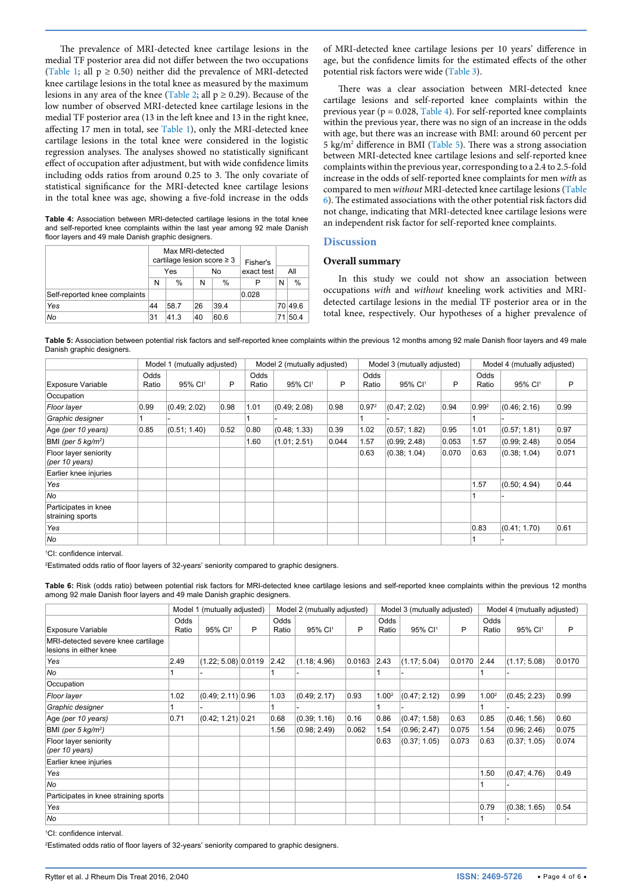The prevalence of MRI-detected knee cartilage lesions in the medial TF posterior area did not differ between the two occupations ([Table 1](#page-2-1); all  $p \ge 0.50$ ) neither did the prevalence of MRI-detected knee cartilage lesions in the total knee as measured by the maximum lesions in any area of the knee [\(Table 2](#page-2-2); all  $p \ge 0.29$ ). Because of the low number of observed MRI-detected knee cartilage lesions in the medial TF posterior area (13 in the left knee and 13 in the right knee, affecting 17 men in total, see [Table 1](#page-2-1)), only the MRI-detected knee cartilage lesions in the total knee were considered in the logistic regression analyses. The analyses showed no statistically significant effect of occupation after adjustment, but with wide confidence limits including odds ratios from around 0.25 to 3. The only covariate of statistical significance for the MRI-detected knee cartilage lesions in the total knee was age, showing a five-fold increase in the odds

<span id="page-3-0"></span>**Table 4:** Association between MRI-detected cartilage lesions in the total knee and self-reported knee complaints within the last year among 92 male Danish floor layers and 49 male Danish graphic designers.

|                               |    | Max MRI-detected<br>cartilage lesion score $\geq 3$ |    | Fisher's |            |    |      |
|-------------------------------|----|-----------------------------------------------------|----|----------|------------|----|------|
|                               |    | Yes                                                 |    | No       | exact test |    | All  |
|                               | Ν  | %                                                   | N  | $\%$     | P          | N  | $\%$ |
| Self-reported knee complaints |    |                                                     |    |          | 0.028      |    |      |
| Yes                           | 44 | 58.7                                                | 26 | 39.4     |            | 70 | 49.6 |
| No                            | 31 | 41.3                                                | 40 | 60.6     |            | 71 | 50.4 |

of MRI-detected knee cartilage lesions per 10 years' difference in age, but the confidence limits for the estimated effects of the other potential risk factors were wide [\(Table 3](#page-2-0)).

There was a clear association between MRI-detected knee cartilage lesions and self-reported knee complaints within the previous year ( $p = 0.028$ , [Table 4\)](#page-3-0). For self-reported knee complaints within the previous year, there was no sign of an increase in the odds with age, but there was an increase with BMI: around 60 percent per 5 kg/m2 difference in BMI [\(Table 5](#page-3-1)). There was a strong association between MRI-detected knee cartilage lesions and self-reported knee complaints within the previous year, corresponding to a 2.4 to 2.5-fold increase in the odds of self-reported knee complaints for men *with* as compared to men *without* MRI-detected knee cartilage lesions ([Table](#page-3-2)  [6](#page-3-2)). The estimated associations with the other potential risk factors did not change, indicating that MRI-detected knee cartilage lesions were an independent risk factor for self-reported knee complaints.

#### **Discussion**

#### **Overall summary**

In this study we could not show an association between occupations *with* and *without* kneeling work activities and MRIdetected cartilage lesions in the medial TF posterior area or in the total knee, respectively. Our hypotheses of a higher prevalence of

<span id="page-3-1"></span>**Table 5:** Association between potential risk factors and self-reported knee complaints within the previous 12 months among 92 male Danish floor layers and 49 male Danish graphic designers.

|                                          |               | Model 1 (mutually adjusted) |      |               | Model 2 (mutually adjusted) |       |                   | Model 3 (mutually adjusted) |       | Model 4 (mutually adjusted) |                     |       |  |
|------------------------------------------|---------------|-----------------------------|------|---------------|-----------------------------|-------|-------------------|-----------------------------|-------|-----------------------------|---------------------|-------|--|
| <b>Exposure Variable</b>                 | Odds<br>Ratio | 95% CI <sup>1</sup>         | P    | Odds<br>Ratio | 95% CI <sup>1</sup>         | P     | Odds<br>Ratio     | 95% CI <sup>1</sup>         | P     | Odds<br>Ratio               | 95% CI <sup>1</sup> | P     |  |
| Occupation                               |               |                             |      |               |                             |       |                   |                             |       |                             |                     |       |  |
| Floor layer                              | 0.99          | (0.49; 2.02)                | 0.98 | 1.01          | (0.49; 2.08)                | 0.98  | 0.97 <sup>2</sup> | (0.47; 2.02)                | 0.94  | $0.99^2$                    | (0.46; 2.16)        | 0.99  |  |
| Graphic designer                         |               |                             |      |               |                             |       |                   |                             |       |                             |                     |       |  |
| Age (per 10 years)                       | 0.85          | (0.51; 1.40)                | 0.52 | 0.80          | (0.48; 1.33)                | 0.39  | 1.02              | (0.57; 1.82)                | 0.95  | 1.01                        | (0.57; 1.81)        | 0.97  |  |
| BMI (per 5 $kq/m^2$ )                    |               |                             |      | 1.60          | (1.01; 2.51)                | 0.044 | 1.57              | (0.99; 2.48)                | 0.053 | 1.57                        | (0.99; 2.48)        | 0.054 |  |
| Floor layer seniority<br>(per 10 years)  |               |                             |      |               |                             |       | 0.63              | (0.38; 1.04)                | 0.070 | 0.63                        | (0.38; 1.04)        | 0.071 |  |
| Earlier knee injuries                    |               |                             |      |               |                             |       |                   |                             |       |                             |                     |       |  |
| Yes                                      |               |                             |      |               |                             |       |                   |                             |       | 1.57                        | (0.50; 4.94)        | 0.44  |  |
| No                                       |               |                             |      |               |                             |       |                   |                             |       |                             |                     |       |  |
| Participates in knee<br>straining sports |               |                             |      |               |                             |       |                   |                             |       |                             |                     |       |  |
| Yes                                      |               |                             |      |               |                             |       |                   |                             |       | 0.83                        | (0.41; 1.70)        | 0.61  |  |
| No                                       |               |                             |      |               |                             |       |                   |                             |       |                             |                     |       |  |

1 CI: confidence interval.

2 Estimated odds ratio of floor layers of 32-years' seniority compared to graphic designers.

<span id="page-3-2"></span>

| Table 6: Risk (odds ratio) between potential risk factors for MRI-detected knee cartilage lesions and self-reported knee complaints within the previous 12 months |  |
|-------------------------------------------------------------------------------------------------------------------------------------------------------------------|--|
| among 92 male Danish floor layers and 49 male Danish graphic designers.                                                                                           |  |

|                                                              |               | Model 1 (mutually adjusted) |   |               | Model 2 (mutually adjusted) |        |                   | Model 3 (mutually adjusted) |        |                   | Model 4 (mutually adjusted) |        |
|--------------------------------------------------------------|---------------|-----------------------------|---|---------------|-----------------------------|--------|-------------------|-----------------------------|--------|-------------------|-----------------------------|--------|
| <b>Exposure Variable</b>                                     | Odds<br>Ratio | 95% CI <sup>1</sup>         | P | Odds<br>Ratio | 95% CI <sup>1</sup>         | P      | Odds<br>Ratio     | 95% CI <sup>1</sup>         | P      | Odds<br>Ratio     | 95% CI <sup>1</sup>         | P      |
| MRI-detected severe knee cartilage<br>lesions in either knee |               |                             |   |               |                             |        |                   |                             |        |                   |                             |        |
| Yes                                                          | 2.49          | $(1.22; 5.08)$ 0.0119       |   | 2.42          | (1.18; 4.96)                | 0.0163 | 2.43              | (1.17; 5.04)                | 0.0170 | 2.44              | (1.17; 5.08)                | 0.0170 |
| No                                                           |               |                             |   |               |                             |        |                   |                             |        |                   |                             |        |
| Occupation                                                   |               |                             |   |               |                             |        |                   |                             |        |                   |                             |        |
| Floor layer                                                  | 1.02          | $(0.49; 2.11)$ 0.96         |   | 1.03          | (0.49; 2.17)                | 0.93   | 1.00 <sup>2</sup> | (0.47; 2.12)                | 0.99   | 1.00 <sup>2</sup> | (0.45; 2.23)                | 0.99   |
| Graphic designer                                             |               |                             |   |               |                             |        |                   |                             |        |                   |                             |        |
| Age (per 10 years)                                           | 0.71          | $(0.42; 1.21)$ 0.21         |   | 0.68          | (0.39; 1.16)                | 0.16   | 0.86              | (0.47; 1.58)                | 0.63   | 0.85              | (0.46; 1.56)                | 0.60   |
| BMI (per 5 $kg/m2$ )                                         |               |                             |   | 1.56          | (0.98; 2.49)                | 0.062  | 1.54              | (0.96; 2.47)                | 0.075  | 1.54              | (0.96; 2.46)                | 0.075  |
| Floor layer seniority<br>(per 10 years)                      |               |                             |   |               |                             |        | 0.63              | (0.37; 1.05)                | 0.073  | 0.63              | (0.37; 1.05)                | 0.074  |
| Earlier knee injuries                                        |               |                             |   |               |                             |        |                   |                             |        |                   |                             |        |
| Yes                                                          |               |                             |   |               |                             |        |                   |                             |        | 1.50              | (0.47; 4.76)                | 0.49   |
| No                                                           |               |                             |   |               |                             |        |                   |                             |        |                   |                             |        |
| Participates in knee straining sports                        |               |                             |   |               |                             |        |                   |                             |        |                   |                             |        |
| Yes                                                          |               |                             |   |               |                             |        |                   |                             |        | 0.79              | (0.38; 1.65)                | 0.54   |
| No                                                           |               |                             |   |               |                             |        |                   |                             |        |                   |                             |        |

1 CI: confidence interval.

2 Estimated odds ratio of floor layers of 32-years' seniority compared to graphic designers.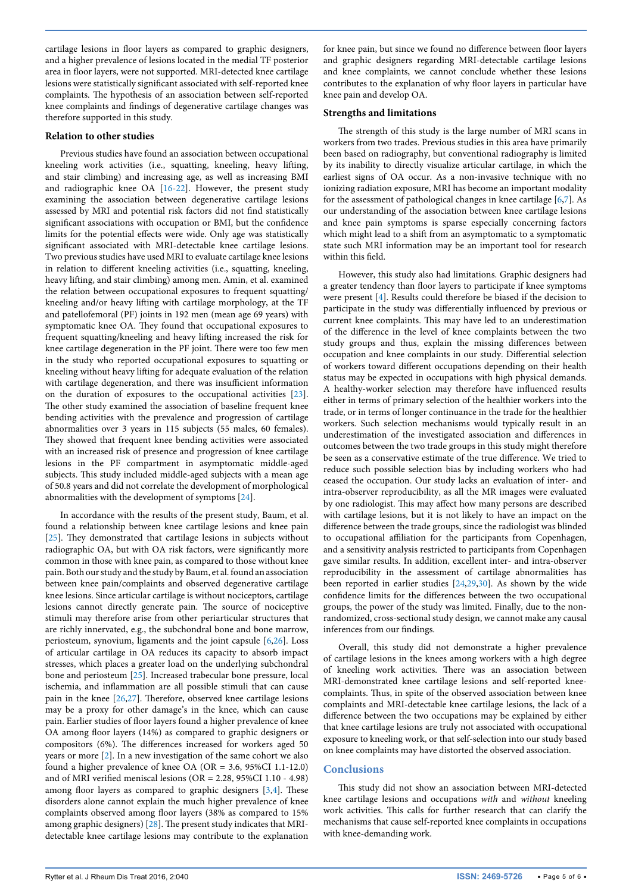cartilage lesions in floor layers as compared to graphic designers, and a higher prevalence of lesions located in the medial TF posterior area in floor layers, were not supported. MRI-detected knee cartilage lesions were statistically significant associated with self-reported knee complaints. The hypothesis of an association between self-reported knee complaints and findings of degenerative cartilage changes was therefore supported in this study.

#### **Relation to other studies**

Previous studies have found an association between occupational kneeling work activities (i.e., squatting, kneeling, heavy lifting, and stair climbing) and increasing age, as well as increasing BMI and radiographic knee OA [[16-](#page-5-14)[22](#page-5-15)]. However, the present study examining the association between degenerative cartilage lesions assessed by MRI and potential risk factors did not find statistically significant associations with occupation or BMI, but the confidence limits for the potential effects were wide. Only age was statistically significant associated with MRI-detectable knee cartilage lesions. Two previous studies have used MRI to evaluate cartilage knee lesions in relation to different kneeling activities (i.e., squatting, kneeling, heavy lifting, and stair climbing) among men. Amin, et al. examined the relation between occupational exposures to frequent squatting/ kneeling and/or heavy lifting with cartilage morphology, at the TF and patellofemoral (PF) joints in 192 men (mean age 69 years) with symptomatic knee OA. They found that occupational exposures to frequent squatting/kneeling and heavy lifting increased the risk for knee cartilage degeneration in the PF joint. There were too few men in the study who reported occupational exposures to squatting or kneeling without heavy lifting for adequate evaluation of the relation with cartilage degeneration, and there was insufficient information on the duration of exposures to the occupational activities [[23](#page-5-16)]. The other study examined the association of baseline frequent knee bending activities with the prevalence and progression of cartilage abnormalities over 3 years in 115 subjects (55 males, 60 females). They showed that frequent knee bending activities were associated with an increased risk of presence and progression of knee cartilage lesions in the PF compartment in asymptomatic middle-aged subjects. This study included middle-aged subjects with a mean age of 50.8 years and did not correlate the development of morphological abnormalities with the development of symptoms [[24](#page-5-17)].

In accordance with the results of the present study, Baum, et al. found a relationship between knee cartilage lesions and knee pain [[25](#page-5-18)]. They demonstrated that cartilage lesions in subjects without radiographic OA, but with OA risk factors, were significantly more common in those with knee pain, as compared to those without knee pain. Both our study and the study by Baum, et al. found an association between knee pain/complaints and observed degenerative cartilage knee lesions. Since articular cartilage is without nociceptors, cartilage lesions cannot directly generate pain. The source of nociceptive stimuli may therefore arise from other periarticular structures that are richly innervated, e.g., the subchondral bone and bone marrow, periosteum, synovium, ligaments and the joint capsule [\[6,](#page-5-5)[26](#page-5-19)]. Loss of articular cartilage in OA reduces its capacity to absorb impact stresses, which places a greater load on the underlying subchondral bone and periosteum [[25](#page-5-18)]. Increased trabecular bone pressure, local ischemia, and inflammation are all possible stimuli that can cause pain in the knee [\[26](#page-5-19)[,27\]](#page-5-20). Therefore, observed knee cartilage lesions may be a proxy for other damage's in the knee, which can cause pain. Earlier studies of floor layers found a higher prevalence of knee OA among floor layers (14%) as compared to graphic designers or compositors (6%). The differences increased for workers aged 50 years or more [\[2\]](#page-5-1). In a new investigation of the same cohort we also found a higher prevalence of knee OA (OR = 3.6, 95%CI 1.1-12.0) and of MRI verified meniscal lesions (OR = 2.28, 95%CI 1.10 - 4.98) among floor layers as compared to graphic designers [\[3,](#page-5-2)[4](#page-5-3)]. These disorders alone cannot explain the much higher prevalence of knee complaints observed among floor layers (38% as compared to 15% among graphic designers) [\[28\]](#page-5-21). The present study indicates that MRIdetectable knee cartilage lesions may contribute to the explanation for knee pain, but since we found no difference between floor layers and graphic designers regarding MRI-detectable cartilage lesions and knee complaints, we cannot conclude whether these lesions contributes to the explanation of why floor layers in particular have knee pain and develop OA.

#### **Strengths and limitations**

The strength of this study is the large number of MRI scans in workers from two trades. Previous studies in this area have primarily been based on radiography, but conventional radiography is limited by its inability to directly visualize articular cartilage, in which the earliest signs of OA occur. As a non-invasive technique with no ionizing radiation exposure, MRI has become an important modality for the assessment of pathological changes in knee cartilage [\[6](#page-5-5),[7\]](#page-5-6). As our understanding of the association between knee cartilage lesions and knee pain symptoms is sparse especially concerning factors which might lead to a shift from an asymptomatic to a symptomatic state such MRI information may be an important tool for research within this field.

However, this study also had limitations. Graphic designers had a greater tendency than floor layers to participate if knee symptoms were present [[4\]](#page-5-3). Results could therefore be biased if the decision to participate in the study was differentially influenced by previous or current knee complaints. This may have led to an underestimation of the difference in the level of knee complaints between the two study groups and thus, explain the missing differences between occupation and knee complaints in our study. Differential selection of workers toward different occupations depending on their health status may be expected in occupations with high physical demands. A healthy-worker selection may therefore have influenced results either in terms of primary selection of the healthier workers into the trade, or in terms of longer continuance in the trade for the healthier workers. Such selection mechanisms would typically result in an underestimation of the investigated association and differences in outcomes between the two trade groups in this study might therefore be seen as a conservative estimate of the true difference. We tried to reduce such possible selection bias by including workers who had ceased the occupation. Our study lacks an evaluation of inter- and intra-observer reproducibility, as all the MR images were evaluated by one radiologist. This may affect how many persons are described with cartilage lesions, but it is not likely to have an impact on the difference between the trade groups, since the radiologist was blinded to occupational affiliation for the participants from Copenhagen, and a sensitivity analysis restricted to participants from Copenhagen gave similar results. In addition, excellent inter- and intra-observer reproducibility in the assessment of cartilage abnormalities has been reported in earlier studies [\[24,](#page-5-17)[29,](#page-5-22)[30](#page-5-23)]. As shown by the wide confidence limits for the differences between the two occupational groups, the power of the study was limited. Finally, due to the nonrandomized, cross-sectional study design, we cannot make any causal inferences from our findings.

Overall, this study did not demonstrate a higher prevalence of cartilage lesions in the knees among workers with a high degree of kneeling work activities. There was an association between MRI-demonstrated knee cartilage lesions and self-reported kneecomplaints. Thus, in spite of the observed association between knee complaints and MRI-detectable knee cartilage lesions, the lack of a difference between the two occupations may be explained by either that knee cartilage lesions are truly not associated with occupational exposure to kneeling work, or that self-selection into our study based on knee complaints may have distorted the observed association.

#### **Conclusions**

This study did not show an association between MRI-detected knee cartilage lesions and occupations *with* and *without* kneeling work activities. This calls for further research that can clarify the mechanisms that cause self-reported knee complaints in occupations with knee-demanding work.